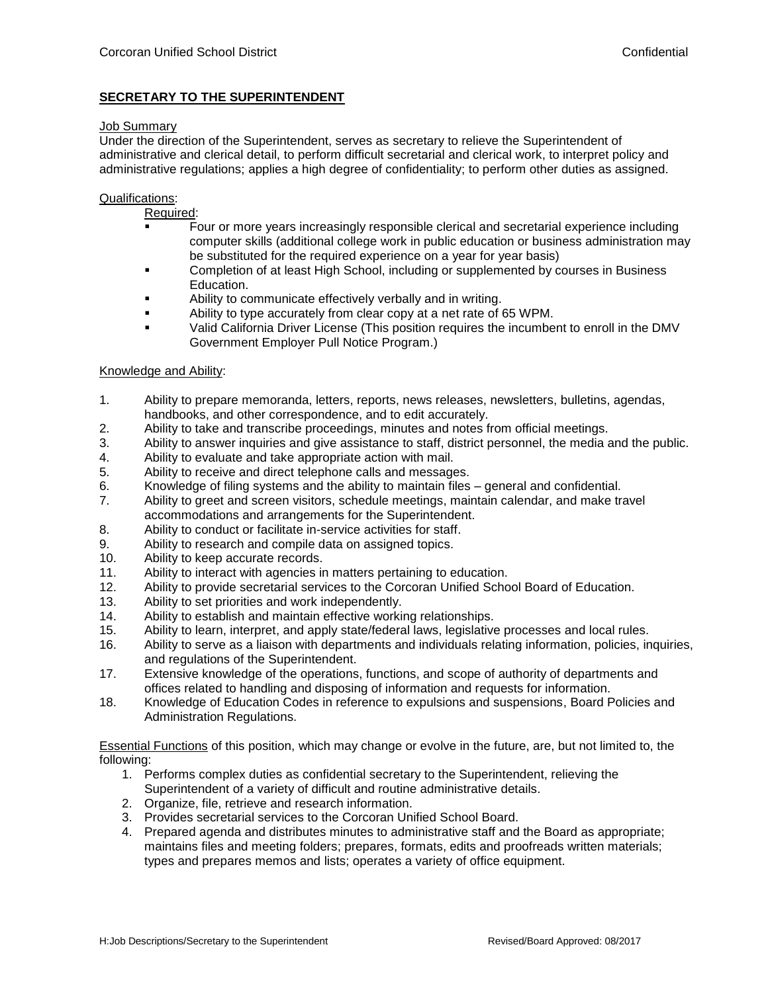## **SECRETARY TO THE SUPERINTENDENT**

## Job Summary

Under the direction of the Superintendent, serves as secretary to relieve the Superintendent of administrative and clerical detail, to perform difficult secretarial and clerical work, to interpret policy and administrative regulations; applies a high degree of confidentiality; to perform other duties as assigned.

## Qualifications:

Required:

- Four or more years increasingly responsible clerical and secretarial experience including computer skills (additional college work in public education or business administration may be substituted for the required experience on a year for year basis)
- Completion of at least High School, including or supplemented by courses in Business Education.
- Ability to communicate effectively verbally and in writing.
- Ability to type accurately from clear copy at a net rate of 65 WPM.
- Valid California Driver License (This position requires the incumbent to enroll in the DMV Government Employer Pull Notice Program.)

## Knowledge and Ability:

- 1. Ability to prepare memoranda, letters, reports, news releases, newsletters, bulletins, agendas, handbooks, and other correspondence, and to edit accurately.
- 2. Ability to take and transcribe proceedings, minutes and notes from official meetings.
- 3. Ability to answer inquiries and give assistance to staff, district personnel, the media and the public.
- 4. Ability to evaluate and take appropriate action with mail.
- 5. Ability to receive and direct telephone calls and messages.
- 6. Knowledge of filing systems and the ability to maintain files general and confidential.
- 7. Ability to greet and screen visitors, schedule meetings, maintain calendar, and make travel accommodations and arrangements for the Superintendent.
- 8. Ability to conduct or facilitate in-service activities for staff.
- 9. Ability to research and compile data on assigned topics.
- 10. Ability to keep accurate records.
- 11. Ability to interact with agencies in matters pertaining to education.
- 12. Ability to provide secretarial services to the Corcoran Unified School Board of Education.
- 13. Ability to set priorities and work independently.
- 14. Ability to establish and maintain effective working relationships.
- 15. Ability to learn, interpret, and apply state/federal laws, legislative processes and local rules.
- 16. Ability to serve as a liaison with departments and individuals relating information, policies, inquiries, and regulations of the Superintendent.
- 17. Extensive knowledge of the operations, functions, and scope of authority of departments and offices related to handling and disposing of information and requests for information.
- 18. Knowledge of Education Codes in reference to expulsions and suspensions, Board Policies and Administration Regulations.

Essential Functions of this position, which may change or evolve in the future, are, but not limited to, the following:

- 1. Performs complex duties as confidential secretary to the Superintendent, relieving the Superintendent of a variety of difficult and routine administrative details.
- 2. Organize, file, retrieve and research information.
- 3. Provides secretarial services to the Corcoran Unified School Board.
- 4. Prepared agenda and distributes minutes to administrative staff and the Board as appropriate; maintains files and meeting folders; prepares, formats, edits and proofreads written materials; types and prepares memos and lists; operates a variety of office equipment.